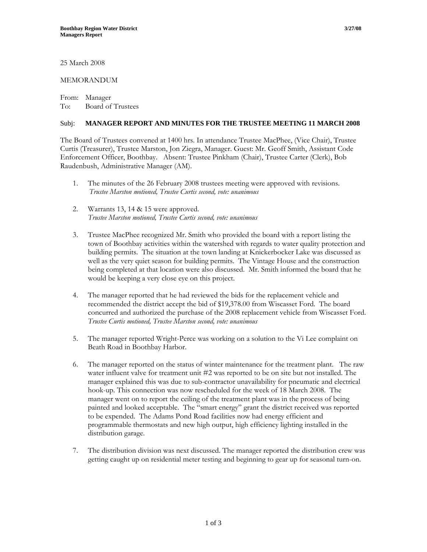25 March 2008

## MEMORANDUM

From: Manager To: Board of Trustees

## Subj: **MANAGER REPORT AND MINUTES FOR THE TRUSTEE MEETING 11 MARCH 2008**

The Board of Trustees convened at 1400 hrs. In attendance Trustee MacPhee, (Vice Chair), Trustee Curtis (Treasurer), Trustee Marston, Jon Ziegra, Manager. Guest: Mr. Geoff Smith, Assistant Code Enforcement Officer, Boothbay. Absent: Trustee Pinkham (Chair), Trustee Carter (Clerk), Bob Raudenbush, Administrative Manager (AM).

- 1. The minutes of the 26 February 2008 trustees meeting were approved with revisions. *Trustee Marston motioned, Trustee Curtis second, vote: unanimous*
- 2. Warrants 13, 14 & 15 were approved. *Trustee Marston motioned, Trustee Curtis second, vote: unanimous*
- 3. Trustee MacPhee recognized Mr. Smith who provided the board with a report listing the town of Boothbay activities within the watershed with regards to water quality protection and building permits. The situation at the town landing at Knickerbocker Lake was discussed as well as the very quiet season for building permits. The Vintage House and the construction being completed at that location were also discussed. Mr. Smith informed the board that he would be keeping a very close eye on this project.
- 4. The manager reported that he had reviewed the bids for the replacement vehicle and recommended the district accept the bid of \$19,378.00 from Wiscasset Ford. The board concurred and authorized the purchase of the 2008 replacement vehicle from Wiscasset Ford. *Trustee Curtis motioned, Trustee Marston second, vote: unanimous*
- 5. The manager reported Wright-Perce was working on a solution to the Vi Lee complaint on Beath Road in Boothbay Harbor.
- 6. The manager reported on the status of winter maintenance for the treatment plant. The raw water influent valve for treatment unit #2 was reported to be on site but not installed. The manager explained this was due to sub-contractor unavailability for pneumatic and electrical hook-up. This connection was now rescheduled for the week of 18 March 2008. The manager went on to report the ceiling of the treatment plant was in the process of being painted and looked acceptable. The "smart energy" grant the district received was reported to be expended. The Adams Pond Road facilities now had energy efficient and programmable thermostats and new high output, high efficiency lighting installed in the distribution garage.
- 7. The distribution division was next discussed. The manager reported the distribution crew was getting caught up on residential meter testing and beginning to gear up for seasonal turn-on.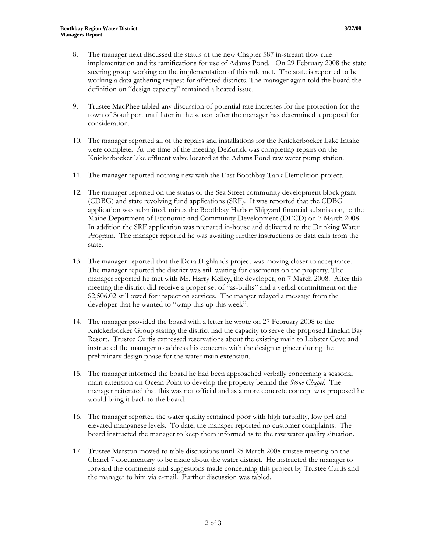- 8. The manager next discussed the status of the new Chapter 587 in-stream flow rule implementation and its ramifications for use of Adams Pond. On 29 February 2008 the state steering group working on the implementation of this rule met. The state is reported to be working a data gathering request for affected districts. The manager again told the board the definition on "design capacity" remained a heated issue.
- 9. Trustee MacPhee tabled any discussion of potential rate increases for fire protection for the town of Southport until later in the season after the manager has determined a proposal for consideration.
- 10. The manager reported all of the repairs and installations for the Knickerbocker Lake Intake were complete. At the time of the meeting DeZurick was completing repairs on the Knickerbocker lake effluent valve located at the Adams Pond raw water pump station.
- 11. The manager reported nothing new with the East Boothbay Tank Demolition project.
- 12. The manager reported on the status of the Sea Street community development block grant (CDBG) and state revolving fund applications (SRF). It was reported that the CDBG application was submitted, minus the Boothbay Harbor Shipyard financial submission, to the Maine Department of Economic and Community Development (DECD) on 7 March 2008. In addition the SRF application was prepared in-house and delivered to the Drinking Water Program. The manager reported he was awaiting further instructions or data calls from the state.
- 13. The manager reported that the Dora Highlands project was moving closer to acceptance. The manager reported the district was still waiting for easements on the property. The manager reported he met with Mr. Harry Kelley, the developer, on 7 March 2008. After this meeting the district did receive a proper set of "as-builts" and a verbal commitment on the \$2,506.02 still owed for inspection services. The manger relayed a message from the developer that he wanted to "wrap this up this week".
- 14. The manager provided the board with a letter he wrote on 27 February 2008 to the Knickerbocker Group stating the district had the capacity to serve the proposed Linekin Bay Resort. Trustee Curtis expressed reservations about the existing main to Lobster Cove and instructed the manager to address his concerns with the design engineer during the preliminary design phase for the water main extension.
- 15. The manager informed the board he had been approached verbally concerning a seasonal main extension on Ocean Point to develop the property behind the *Stone Chapel*. The manager reiterated that this was not official and as a more concrete concept was proposed he would bring it back to the board.
- 16. The manager reported the water quality remained poor with high turbidity, low pH and elevated manganese levels. To date, the manager reported no customer complaints. The board instructed the manager to keep them informed as to the raw water quality situation.
- 17. Trustee Marston moved to table discussions until 25 March 2008 trustee meeting on the Chanel 7 documentary to be made about the water district. He instructed the manager to forward the comments and suggestions made concerning this project by Trustee Curtis and the manager to him via e-mail. Further discussion was tabled.